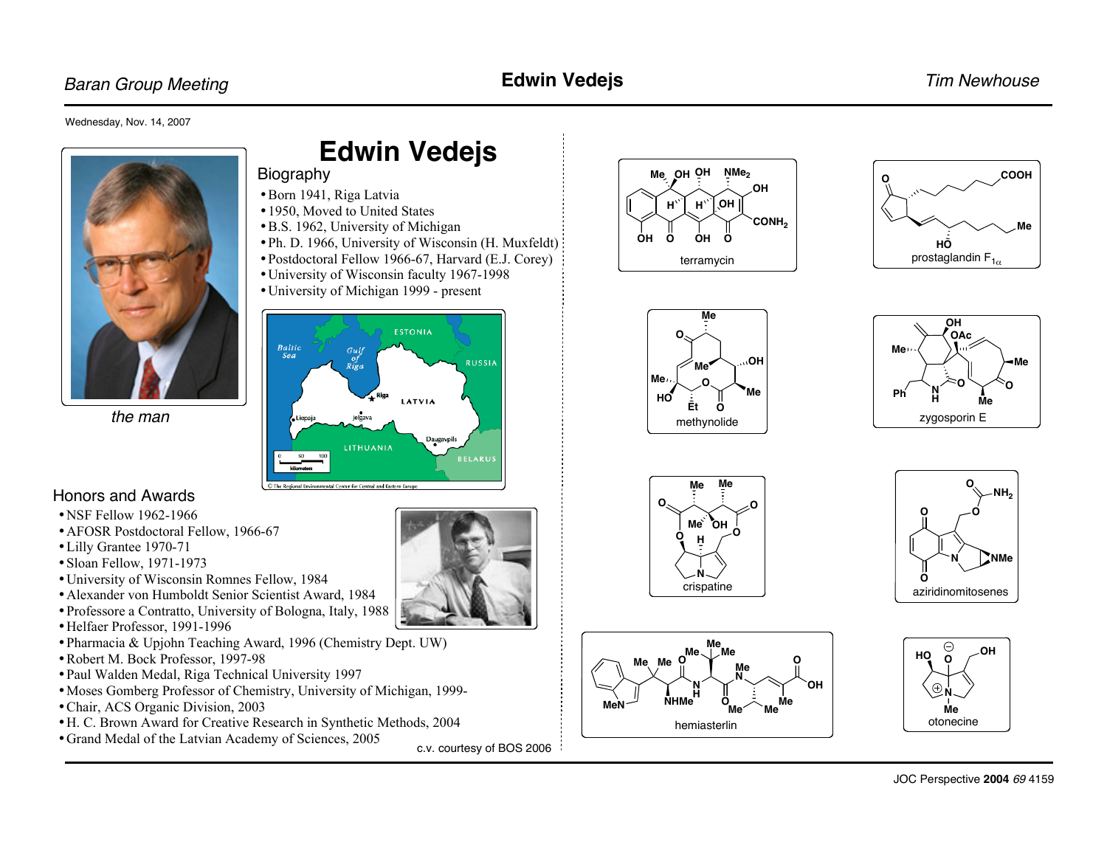# Baran Group Meeting **Edwin Vedejs Edwin Vedejs Edwin Vedejs Edwin Vedel Edwin Vedel Edwin Tim Newhouse**

#### Wednesday, Nov. 14, 2007



the man

# **Edwin Vedejs**

- Biography
- •Born 1941, Riga Latvia
- •1950, Moved to United States
- •B.S. 1962, University of Michigan
- •Ph. D. 1966, University of Wisconsin (H. Muxfeldt)
- •Postdoctoral Fellow 1966-67, Harvard (E.J. Corey)
- •University of Wisconsin faculty 1967-1998
- •University of Michigan 1999 present



### Honors and Awards

- NSF Fellow 1962-1966
- AFOSR Postdoctoral Fellow, 1966-67
- •Lilly Grantee 1970-71
- •Sloan Fellow, 1971-1973
- •University of Wisconsin Romnes Fellow, 1984
- •Alexander von Humboldt Senior Scientist Award, 1984
- •Professore a Contratto, University of Bologna, Italy, 1988
- •Helfaer Professor, 1991-1996
- •Pharmacia & Upjohn Teaching Award, 1996 (Chemistry Dept. UW)
- •Robert M. Bock Professor, 1997-98
- •Paul Walden Medal, Riga Technical University 1997
- •Moses Gomberg Professor of Chemistry, University of Michigan, 1999-
- •Chair, ACS Organic Division, 2003
- •H. C. Brown Award for Creative Research in Synthetic Methods, 2004
- •Grand Medal of the Latvian Academy of Sciences, 2005

c.v. courtesy of BOS 2006











**MeN NHMe** 

**Me Me**

**O**

**N H**

hemiasterlin

**Me Me Me**

**O**

**Me N**



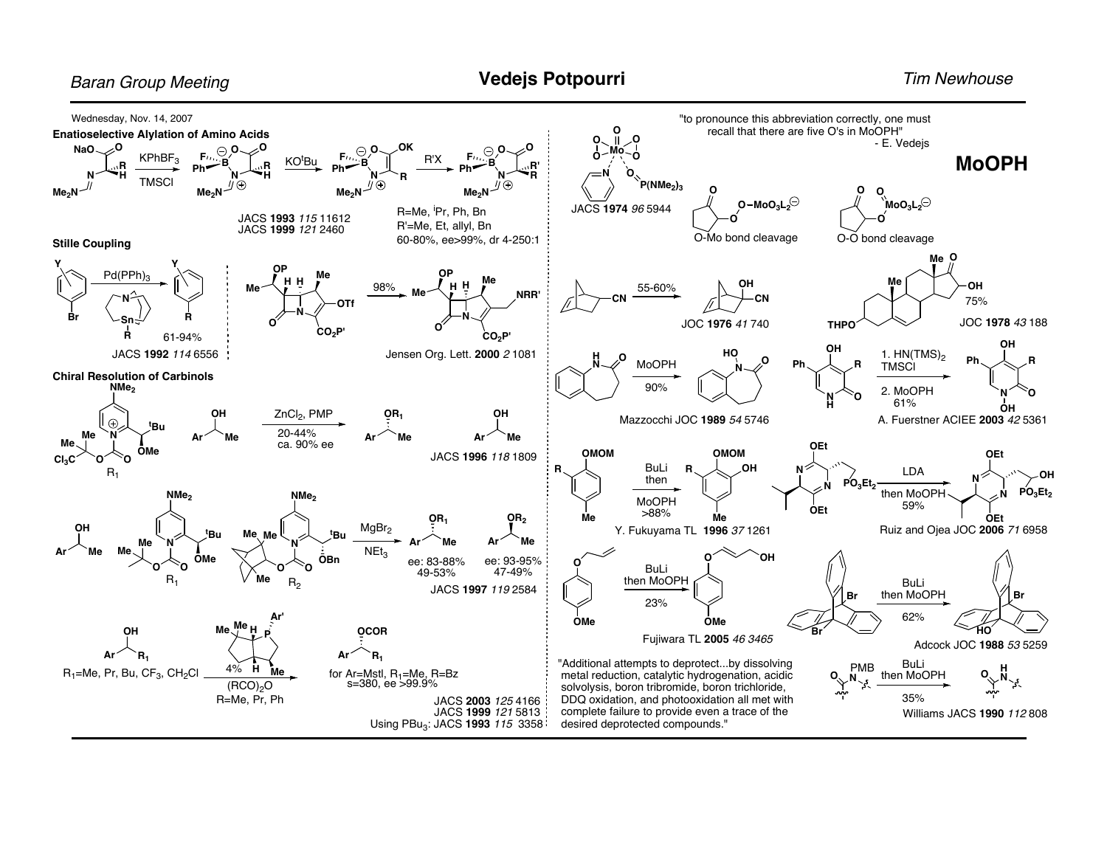### **Baran Group Meeting**

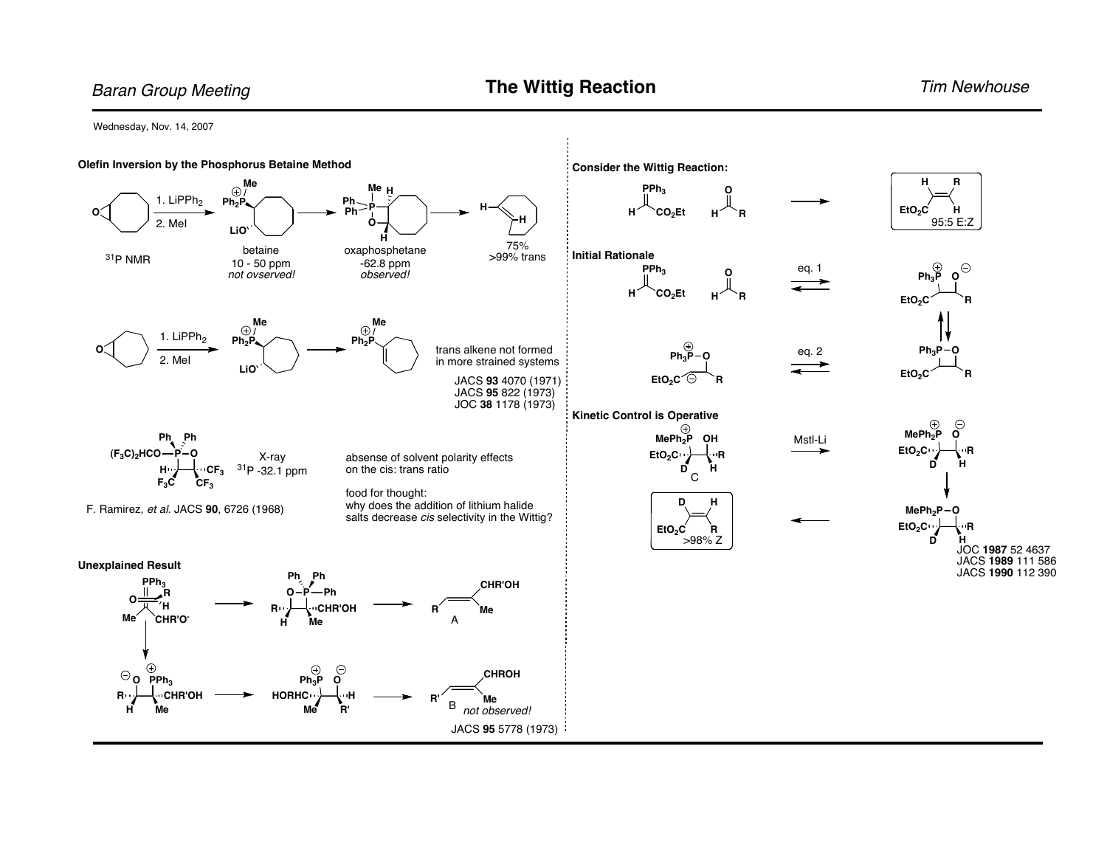Wednesday, Nov. 14, 2007

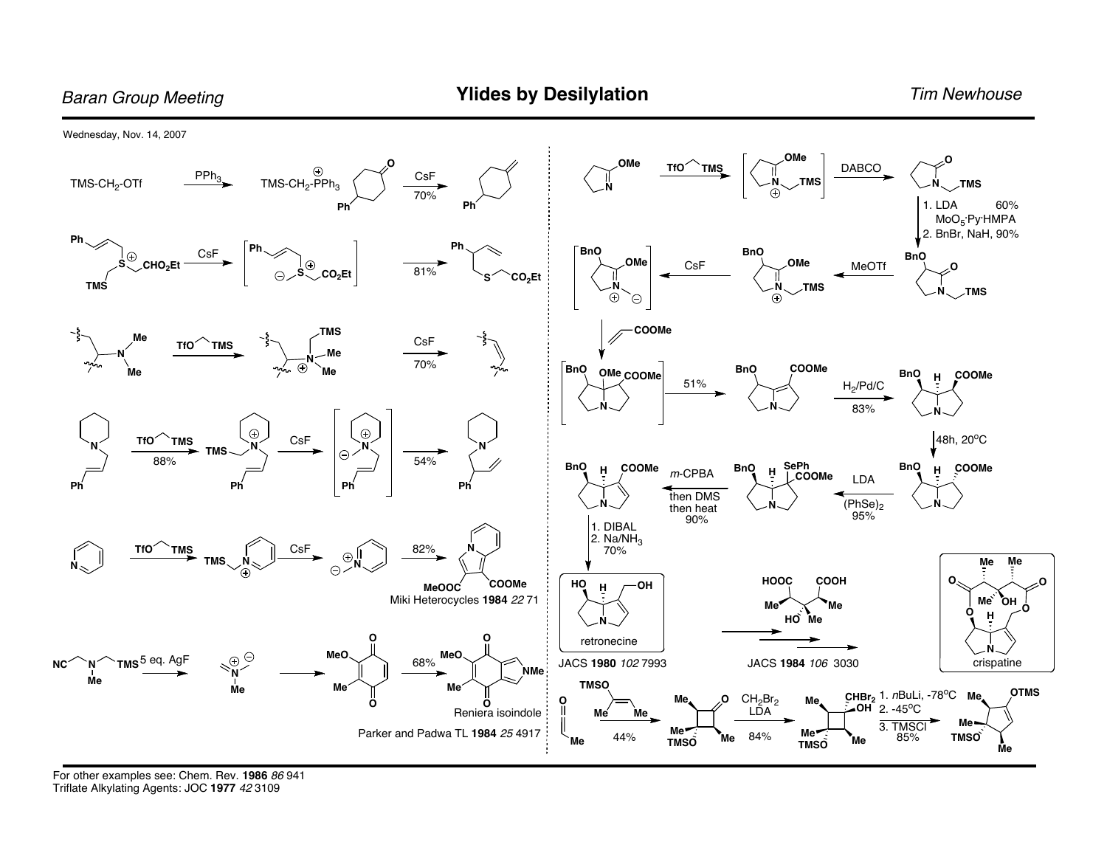Wednesday, Nov. 14, 2007 OMe **OMe DABCO**  $TfO'$  $\overset{\oplus}{\mathsf{TMS}\text{-}\mathsf{CH}_2\text{-}\mathsf{PPh}_3}$ **TMS**  $rac{\text{CSF}}{70\%}$  $PPh<sub>3</sub>$ TMS-CH<sub>2</sub>-OTf **TMS TMS** 1. LDA 60%  $MoO<sub>5</sub>$ ·Py·HMPA 2. BnBr, NaH, 90% Ph. **BnO BnO** CsF  $\odot$ **BnO OMe** OMe CHO<sub>2</sub>Et  $CsF$ MeOTf 81% **CO<sub>2</sub>Et**  $\bigodot$ CO<sub>2</sub>Et **TMS** Ñ  $\sqrt{7}$ MS  $\mathcal{F}$ MS  $\bigcirc$  $\odot$  $\odot$ **COOMe TMS** Me CsF  $TiO$ `TMS Me 70%  $\odot$ nn. COOMe **BnO BnO** OMe COOMe **BnO** COOMe  $\overline{H}$ 51%  $H_2$ /Pd/C 83%  $\odot$  $\odot$  $TfO$  $CsF$ 48h, 20°C `TMS **TMS**  $\bigodot$ 88% 54% SePh<br>COOMe **BnO** COOMe **BnO BnO COOMe**  $\boldsymbol{\mathsf{H}}$ Ĥ  $H$  $m$ -CPBA **LDA** Рń  $Ph'$  $Ph$  $Ph$ then DMS  $(PhSe)_2$ then heat 95% 90% 1. DIBAL 2. Na/NH<sub>3</sub> TfO<sup>1</sup> CsF 82% **TMS** 70%  $\odot$ . **TMS** Me <u>М</u>е  $N_{\infty}$  $\ominus$ **HOOC** COOH  $\mathbf{o}$ **COOMe** HO OH **MeOOC**  $H$ Miki Heterocycles 1984 22 71 Me OH Me<sup>®</sup> 'Me Ο  $HO$  $H$ Me retronecine **MeO MeO**  $\mathbb{R}^{\Theta}$ TMS<sup>5 eq.</sup> AgF 68% JACS 1980 102 7993 JACS 1984 106 3030 crispatine **NC** `์N´<br>Me **NMe TMSO** Me CHBr<sub>2</sub> 1. nBuLi, -78°C Me. **OTMS**  $CH<sub>2</sub>Br<sub>2</sub>$ O O Me. Me  $\mathbf{o}$ O  $\cdot$ OH 2. -45<sup>o</sup>C Reniera isoindole LĎA  $Me<sub>2</sub>$ Me Me 3. TMSCI Parker and Padwa TL 1984 25 4917 Me **Me** 84% 44% 85% **TMSO** Me ,<br>Ме Me **TMSO TMSO** Me

For other examples see: Chem. Rev. 1986 86 941 Triflate Alkylating Agents: JOC 1977 42 3109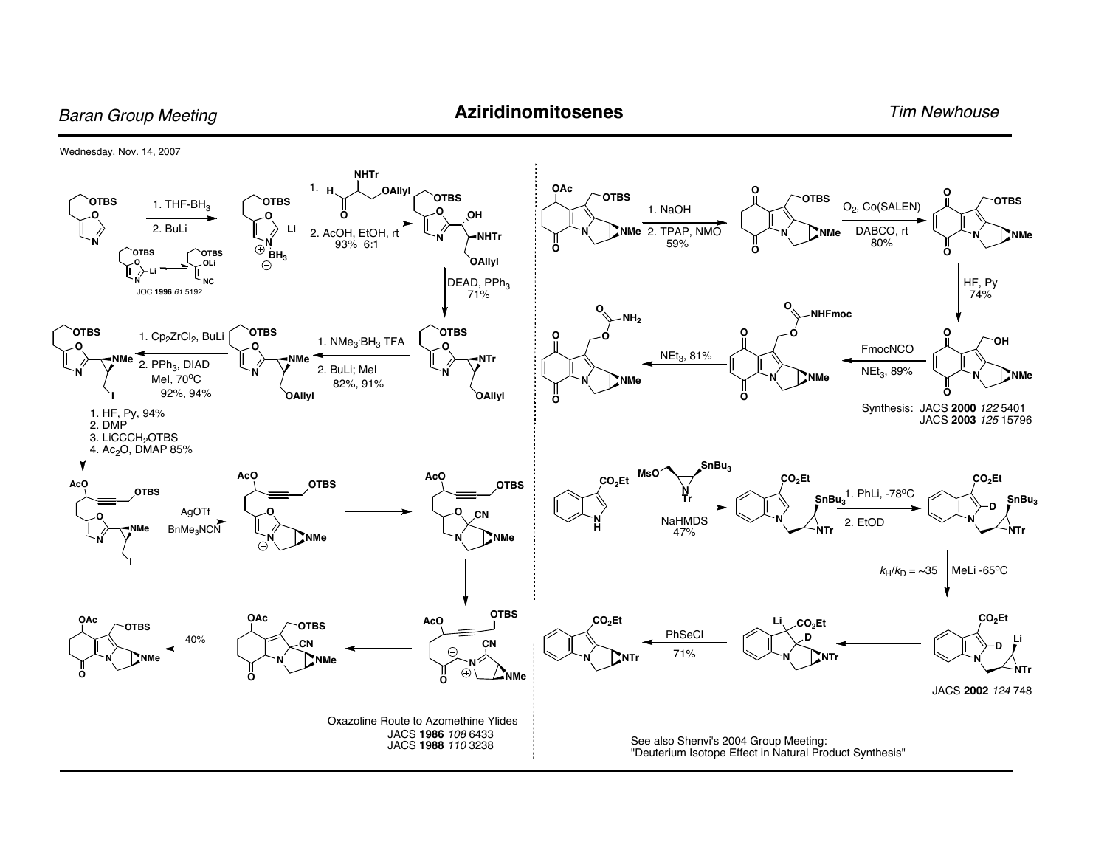Baran Group Meeting **Aziridinomitosenes Aziridinomitosenes** Tim Newhouse

Wednesday, Nov. 14, 2007

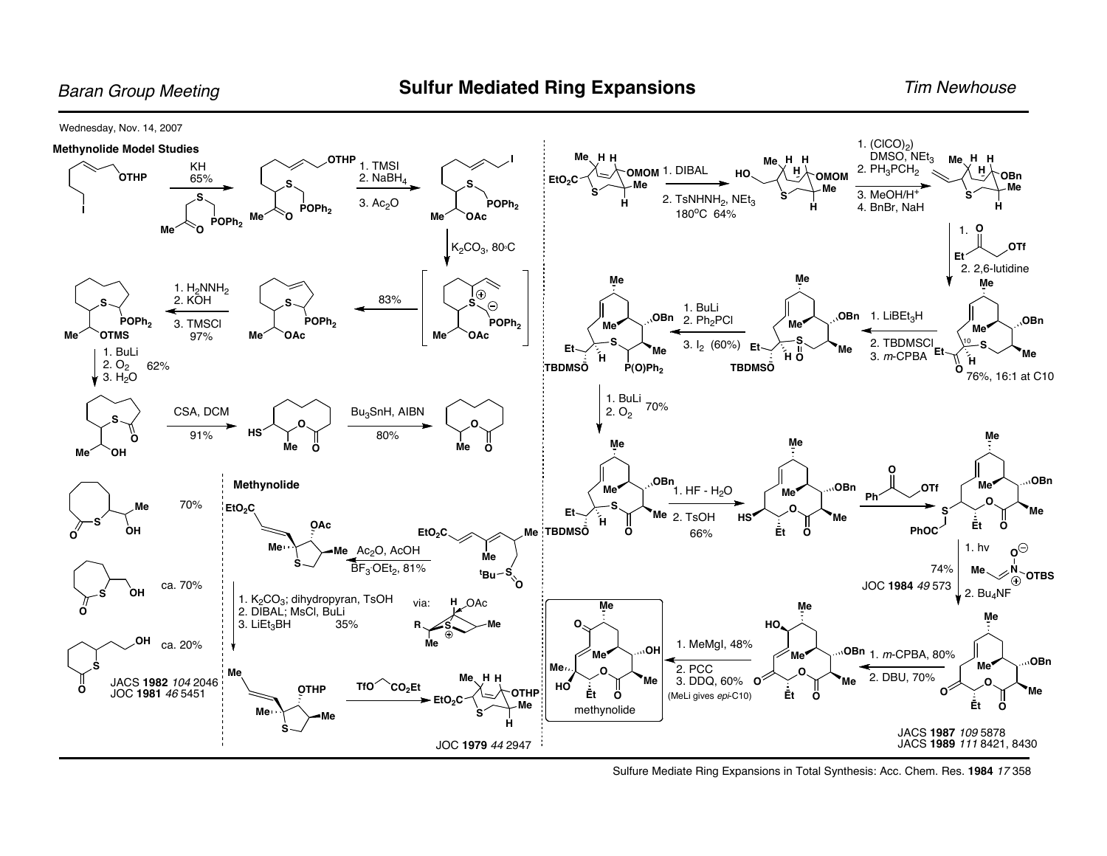Wednesday, Nov. 14, 2007



Sulfure Mediate Ring Expansions in Total Synthesis: Acc. Chem. Res. **1984** <sup>17</sup> 358